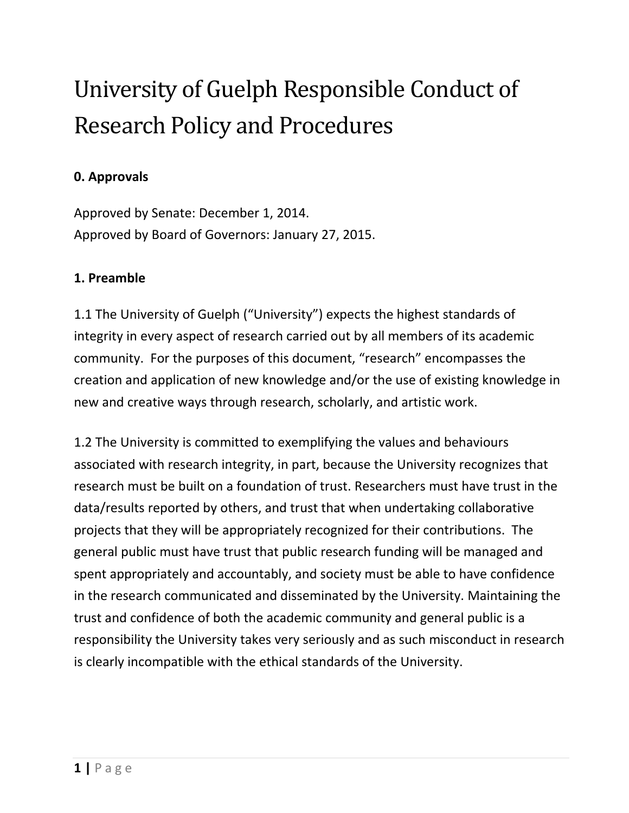# University of Guelph Responsible Conduct of Research Policy and Procedures

## **0. Approvals**

Approved by Senate: December 1, 2014. Approved by Board of Governors: January 27, 2015.

## **1. Preamble**

1.1 The University of Guelph ("University") expects the highest standards of integrity in every aspect of research carried out by all members of its academic community. For the purposes of this document, "research" encompasses the creation and application of new knowledge and/or the use of existing knowledge in new and creative ways through research, scholarly, and artistic work.

1.2 The University is committed to exemplifying the values and behaviours associated with research integrity, in part, because the University recognizes that research must be built on a foundation of trust. Researchers must have trust in the data/results reported by others, and trust that when undertaking collaborative projects that they will be appropriately recognized for their contributions. The general public must have trust that public research funding will be managed and spent appropriately and accountably, and society must be able to have confidence in the research communicated and disseminated by the University. Maintaining the trust and confidence of both the academic community and general public is a responsibility the University takes very seriously and as such misconduct in research is clearly incompatible with the ethical standards of the University.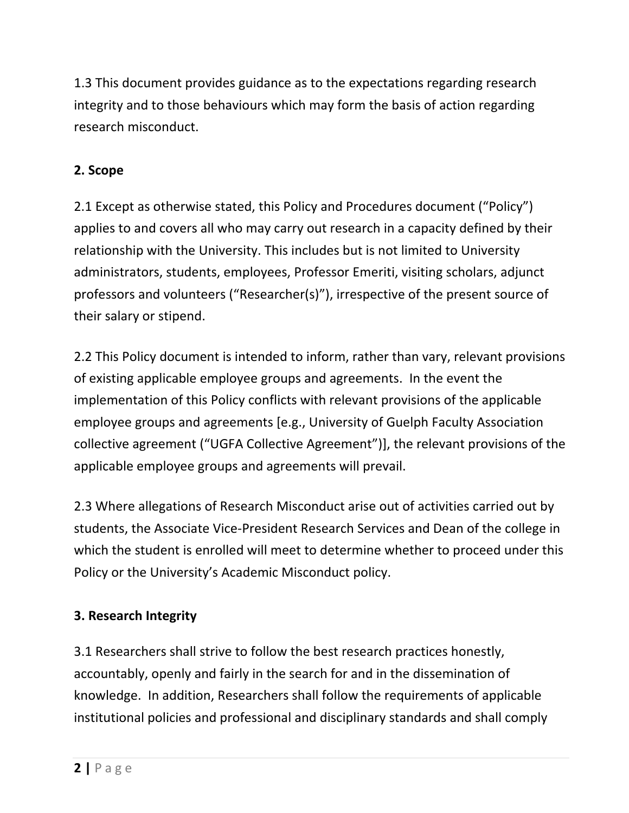1.3 This document provides guidance as to the expectations regarding research integrity and to those behaviours which may form the basis of action regarding research misconduct.

# **2. Scope**

2.1 Except as otherwise stated, this Policy and Procedures document ("Policy") applies to and covers all who may carry out research in a capacity defined by their relationship with the University. This includes but is not limited to University administrators, students, employees, Professor Emeriti, visiting scholars, adjunct professors and volunteers ("Researcher(s)"), irrespective of the present source of their salary or stipend.

2.2 This Policy document is intended to inform, rather than vary, relevant provisions of existing applicable employee groups and agreements. In the event the implementation of this Policy conflicts with relevant provisions of the applicable [employee groups and agreements](https://www.uoguelph.ca/hr/staff-relations/employee-groups-agreements) [e.g., University of Guelph Faculty Association collective agreement ("UGFA Collective Agreement")], the relevant provisions of the applicable [employee groups and agreements](https://www.uoguelph.ca/hr/staff-relations/employee-groups-agreements) will prevail.

2.3 Where allegations of Research Misconduct arise out of activities carried out by students, the Associate Vice-President Research Services and Dean of the college in which the student is enrolled will meet to determine whether to proceed under this Policy or the University's Academic Misconduct policy.

# **3. Research Integrity**

3.1 Researchers shall strive to follow the best research practices honestly, accountably, openly and fairly in the search for and in the dissemination of knowledge. In addition, Researchers shall follow the requirements of applicable institutional policies and professional and disciplinary standards and shall comply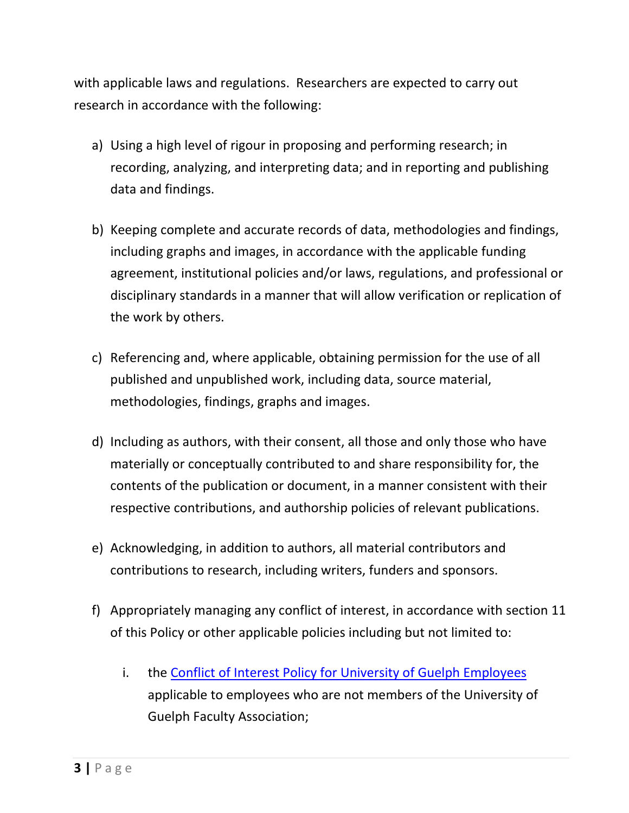with applicable laws and regulations. Researchers are expected to carry out research in accordance with the following:

- a) Using a high level of rigour in proposing and performing research; in recording, analyzing, and interpreting data; and in reporting and publishing data and findings.
- b) Keeping complete and accurate records of data, methodologies and findings, including graphs and images, in accordance with the applicable funding agreement, institutional policies and/or laws, regulations, and professional or disciplinary standards in a manner that will allow verification or replication of the work by others.
- c) Referencing and, where applicable, obtaining permission for the use of all published and unpublished work, including data, source material, methodologies, findings, graphs and images.
- d) Including as authors, with their consent, all those and only those who have materially or conceptually contributed to and share responsibility for, the contents of the publication or document, in a manner consistent with their respective contributions, and authorship policies of relevant publications.
- e) Acknowledging, in addition to authors, all material contributors and contributions to research, including writers, funders and sponsors.
- f) Appropriately managing any conflict of interest, in accordance with section 11 of this Policy or other applicable policies including but not limited to:
	- i. the [Conflict of Interest Policy for University of Guelph Employees](https://www.uoguelph.ca/hr/node/491) applicable to employees who are not members of the University of Guelph Faculty Association;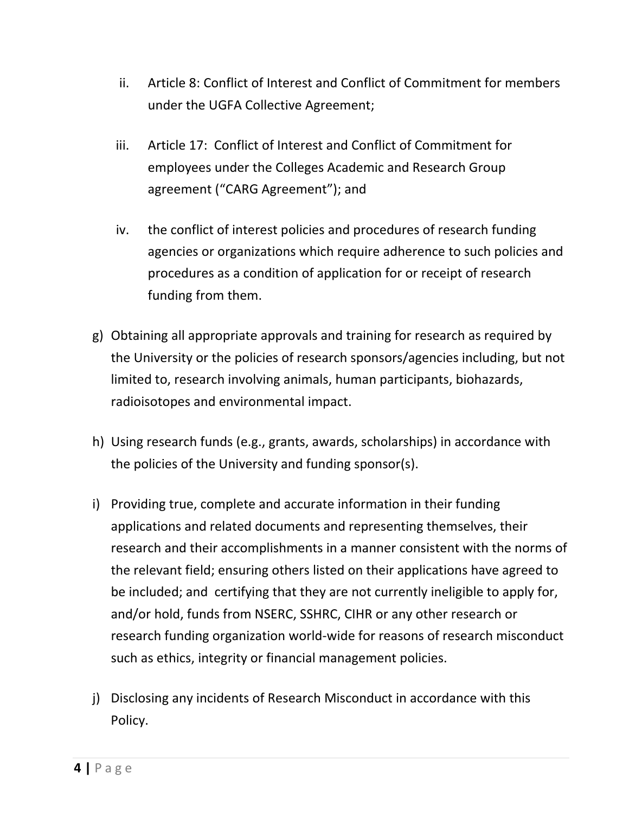- ii. Article 8: Conflict of Interest and Conflict of Commitment for members under the UGFA Collective Agreement;
- iii. Article 17: Conflict of Interest and Conflict of Commitment for employees under the Colleges Academic and Research Group agreement ("CARG Agreement"); and
- iv. the conflict of interest policies and procedures of research funding agencies or organizations which require adherence to such policies and procedures as a condition of application for or receipt of research funding from them.
- g) Obtaining all appropriate approvals and training for research as required by the University or the policies of research sponsors/agencies including, but not limited to, research involving animals, human participants, biohazards, radioisotopes and environmental impact.
- h) Using research funds (e.g., grants, awards, scholarships) in accordance with the policies of the University and funding sponsor(s).
- i) Providing true, complete and accurate information in their funding applications and related documents and representing themselves, their research and their accomplishments in a manner consistent with the norms of the relevant field; ensuring others listed on their applications have agreed to be included; and certifying that they are not currently ineligible to apply for, and/or hold, funds from NSERC, SSHRC, CIHR or any other research or research funding organization world-wide for reasons of research misconduct such as ethics, integrity or financial management policies.
- j) Disclosing any incidents of Research Misconduct in accordance with this Policy.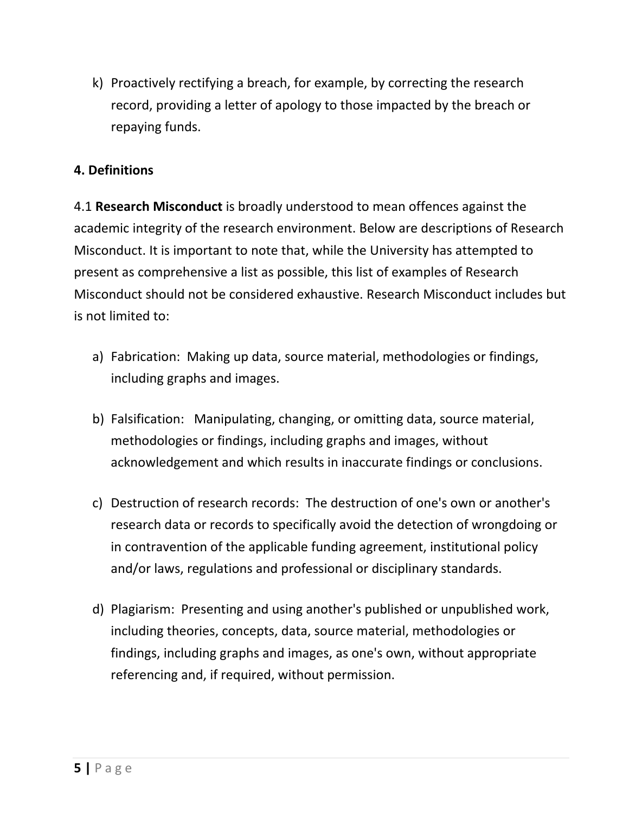k) Proactively rectifying a breach, for example, by correcting the research record, providing a letter of apology to those impacted by the breach or repaying funds.

## **4. Definitions**

4.1 **Research Misconduct** is broadly understood to mean offences against the academic integrity of the research environment. Below are descriptions of Research Misconduct. It is important to note that, while the University has attempted to present as comprehensive a list as possible, this list of examples of Research Misconduct should not be considered exhaustive. Research Misconduct includes but is not limited to:

- a) Fabrication: Making up data, source material, methodologies or findings, including graphs and images.
- b) Falsification: Manipulating, changing, or omitting data, source material, methodologies or findings, including graphs and images, without acknowledgement and which results in inaccurate findings or conclusions.
- c) Destruction of research records: The destruction of one's own or another's research data or records to specifically avoid the detection of wrongdoing or in contravention of the applicable funding agreement, institutional policy and/or laws, regulations and professional or disciplinary standards.
- d) Plagiarism: Presenting and using another's published or unpublished work, including theories, concepts, data, source material, methodologies or findings, including graphs and images, as one's own, without appropriate referencing and, if required, without permission.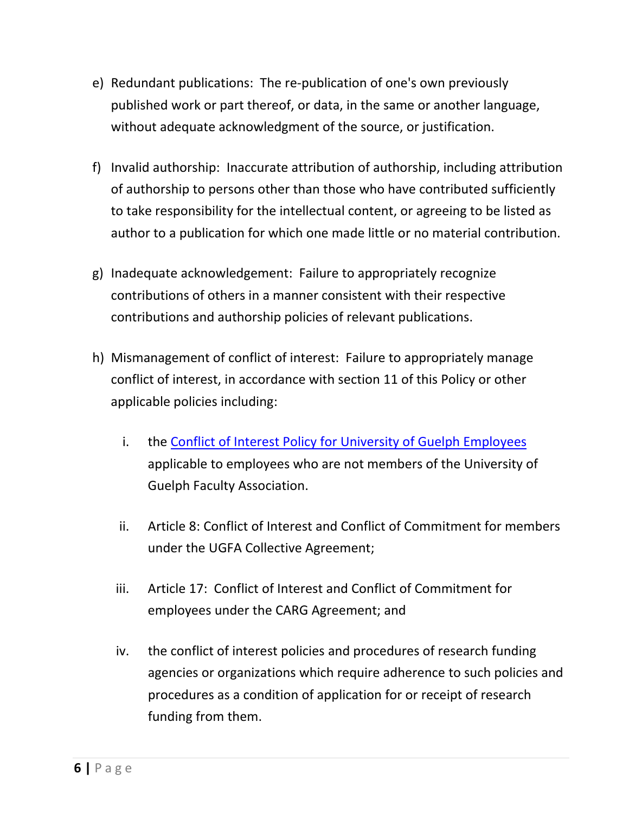- e) Redundant publications: The re-publication of one's own previously published work or part thereof, or data, in the same or another language, without adequate acknowledgment of the source, or justification.
- f) Invalid authorship: Inaccurate attribution of authorship, including attribution of authorship to persons other than those who have contributed sufficiently to take responsibility for the intellectual content, or agreeing to be listed as author to a publication for which one made little or no material contribution.
- g) Inadequate acknowledgement: Failure to appropriately recognize contributions of others in a manner consistent with their respective contributions and authorship policies of relevant publications.
- h) Mismanagement of conflict of interest: Failure to appropriately manage conflict of interest, in accordance with section 11 of this Policy or other applicable policies including:
	- i. the [Conflict of Interest Policy for University of Guelph](https://www.uoguelph.ca/hr/node/491) Employees applicable to employees who are not members of the University of Guelph Faculty Association.
	- ii. Article 8: Conflict of Interest and Conflict of Commitment for members under the UGFA Collective Agreement;
	- iii. Article 17: Conflict of Interest and Conflict of Commitment for employees under the CARG Agreement; and
	- iv. the conflict of interest policies and procedures of research funding agencies or organizations which require adherence to such policies and procedures as a condition of application for or receipt of research funding from them.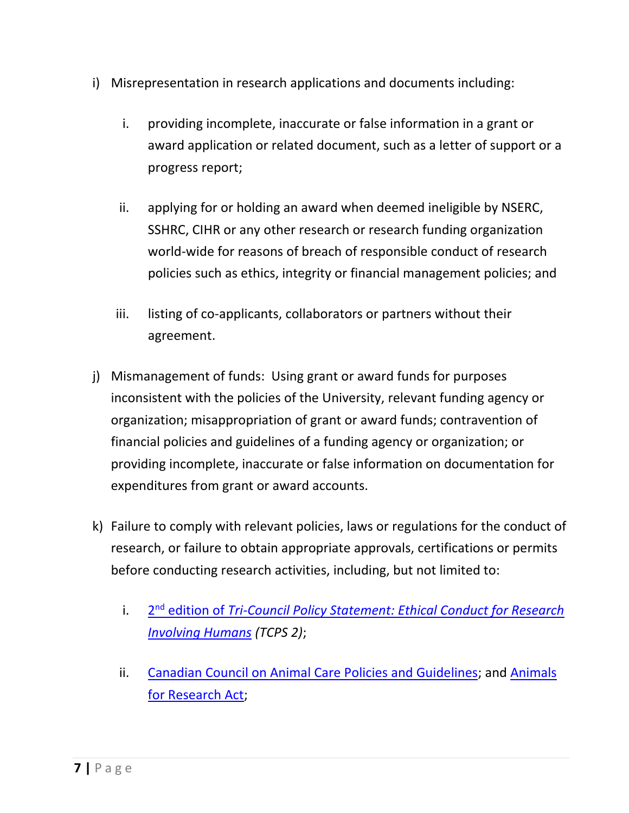- i) Misrepresentation in research applications and documents including:
	- i. providing incomplete, inaccurate or false information in a grant or award application or related document, such as a letter of support or a progress report;
	- ii. applying for or holding an award when deemed ineligible by NSERC, SSHRC, CIHR or any other research or research funding organization world-wide for reasons of breach of responsible conduct of research policies such as ethics, integrity or financial management policies; and
	- iii. listing of co-applicants, collaborators or partners without their agreement.
- j) Mismanagement of funds: Using grant or award funds for purposes inconsistent with the policies of the University, relevant funding agency or organization; misappropriation of grant or award funds; contravention of financial policies and guidelines of a funding agency or organization; or providing incomplete, inaccurate or false information on documentation for expenditures from grant or award accounts.
- k) Failure to comply with relevant policies, laws or regulations for the conduct of research, or failure to obtain appropriate approvals, certifications or permits before conducting research activities, including, but not limited to:
	- i. 2nd edition of *[Tri-Council Policy Statement: Ethical Conduct for Research](http://www.pre.ethics.gc.ca/eng/policy-politique/initiatives/tcps2-eptc2/Default/)  [Involving Humans](http://www.pre.ethics.gc.ca/eng/policy-politique/initiatives/tcps2-eptc2/Default/) (TCPS 2)*;
	- ii. [Canadian Council on Animal Care Policies and Guidelines;](http://www.ccac.ca/en_/standards) and [Animals](http://www.e-laws.gov.on.ca/html/statutes/english/elaws_statutes_90a22_e.htm)  [for Research Act;](http://www.e-laws.gov.on.ca/html/statutes/english/elaws_statutes_90a22_e.htm)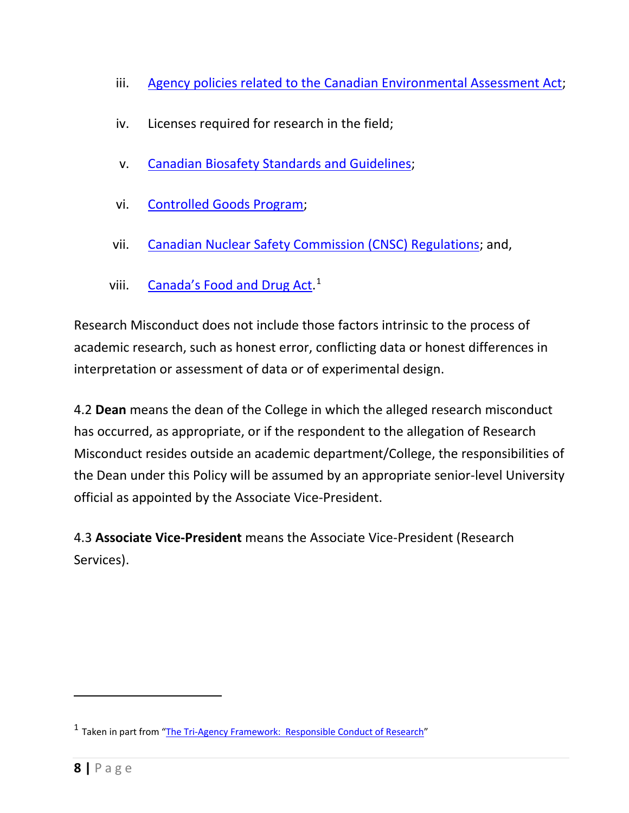- iii. [Agency policies related to the Canadian Environmental Assessment Act;](http://laws-lois.justice.gc.ca/eng/acts/C-15.21/index.html)
- iv. Licenses required for research in the field;
- v. Canadian Biosafety [Standards and](http://canadianbiosafetystandards.collaboration.gc.ca/cbsg-nldcb/index-eng.php) Guidelines;
- vi. [Controlled Goods Program;](http://ssi-iss.tpsgc-pwgsc.gc.ca/dmc-cgd/index-eng.html)
- vii. [Canadian Nuclear Safety Commission \(CNSC\) Regulations;](http://www.nuclearsafety.gc.ca/eng/acts-and-regulations/) and,
- viii. [Canada's Food and Drug Act.](http://www.hc-sc.gc.ca/fn-an/legislation/acts-lois/act-loi_reg-eng.php)<sup>[1](#page-7-0)</sup>

Research Misconduct does not include those factors intrinsic to the process of academic research, such as honest error, conflicting data or honest differences in interpretation or assessment of data or of experimental design.

4.2 **Dean** means the dean of the College in which the alleged research misconduct has occurred, as appropriate, or if the respondent to the allegation of Research Misconduct resides outside an academic department/College, the responsibilities of the Dean under this Policy will be assumed by an appropriate senior-level University official as appointed by the Associate Vice-President.

4.3 **Associate Vice-President** means the Associate Vice-President (Research Services).

<span id="page-7-0"></span><sup>&</sup>lt;sup>1</sup> Taken in part from ["The Tri-Agency Framework: Responsible Conduct of Research"](http://www.rcr.ethics.gc.ca/eng/policy-politique/framework-cadre/)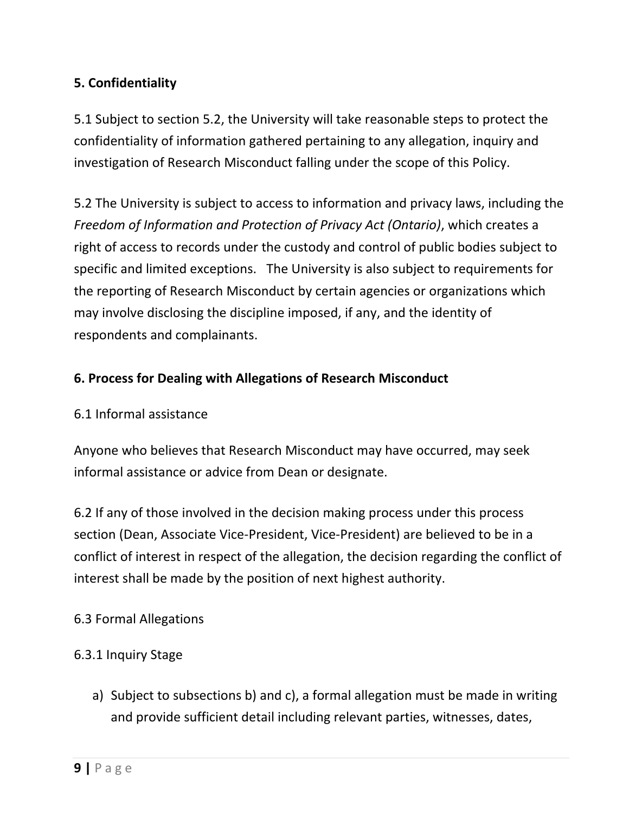## **5. Confidentiality**

5.1 Subject to section 5.2, the University will take reasonable steps to protect the confidentiality of information gathered pertaining to any allegation, inquiry and investigation of Research Misconduct falling under the scope of this Policy.

5.2 The University is subject to access to information and privacy laws, including the *Freedom of Information and Protection of Privacy Act (Ontario)*, which creates a right of access to records under the custody and control of public bodies subject to specific and limited exceptions. The University is also subject to requirements for the reporting of Research Misconduct by certain agencies or organizations which may involve disclosing the discipline imposed, if any, and the identity of respondents and complainants.

### **6. Process for Dealing with Allegations of Research Misconduct**

#### 6.1 Informal assistance

Anyone who believes that Research Misconduct may have occurred, may seek informal assistance or advice from Dean or designate.

6.2 If any of those involved in the decision making process under this process section (Dean, Associate Vice-President, Vice-President) are believed to be in a conflict of interest in respect of the allegation, the decision regarding the conflict of interest shall be made by the position of next highest authority.

#### 6.3 Formal Allegations

## 6.3.1 Inquiry Stage

a) Subject to subsections b) and c), a formal allegation must be made in writing and provide sufficient detail including relevant parties, witnesses, dates,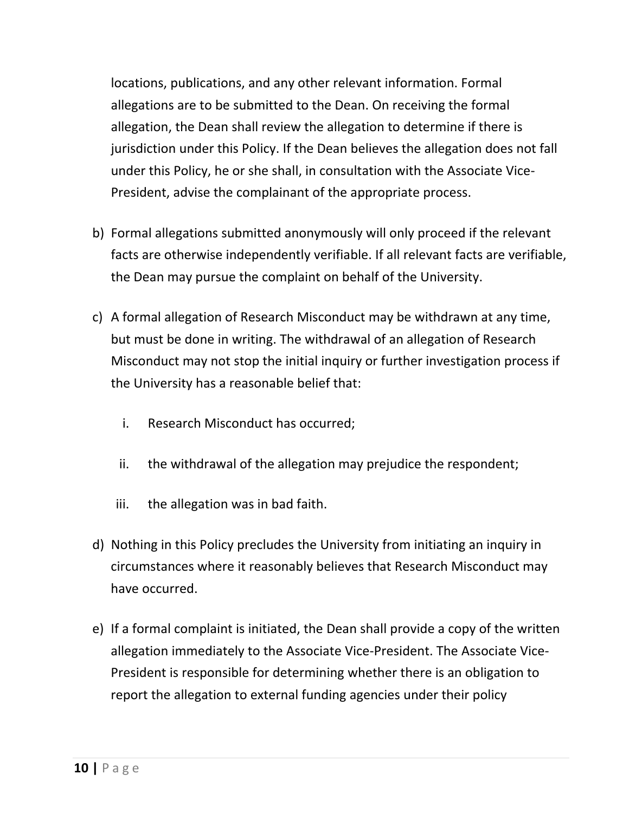locations, publications, and any other relevant information. Formal allegations are to be submitted to the Dean. On receiving the formal allegation, the Dean shall review the allegation to determine if there is jurisdiction under this Policy. If the Dean believes the allegation does not fall under this Policy, he or she shall, in consultation with the Associate Vice-President, advise the complainant of the appropriate process.

- b) Formal allegations submitted anonymously will only proceed if the relevant facts are otherwise independently verifiable. If all relevant facts are verifiable, the Dean may pursue the complaint on behalf of the University.
- c) A formal allegation of Research Misconduct may be withdrawn at any time, but must be done in writing. The withdrawal of an allegation of Research Misconduct may not stop the initial inquiry or further investigation process if the University has a reasonable belief that:
	- i. Research Misconduct has occurred;
	- ii. the withdrawal of the allegation may prejudice the respondent;
	- iii. the allegation was in bad faith.
- d) Nothing in this Policy precludes the University from initiating an inquiry in circumstances where it reasonably believes that Research Misconduct may have occurred.
- e) If a formal complaint is initiated, the Dean shall provide a copy of the written allegation immediately to the Associate Vice-President. The Associate Vice-President is responsible for determining whether there is an obligation to report the allegation to external funding agencies under their policy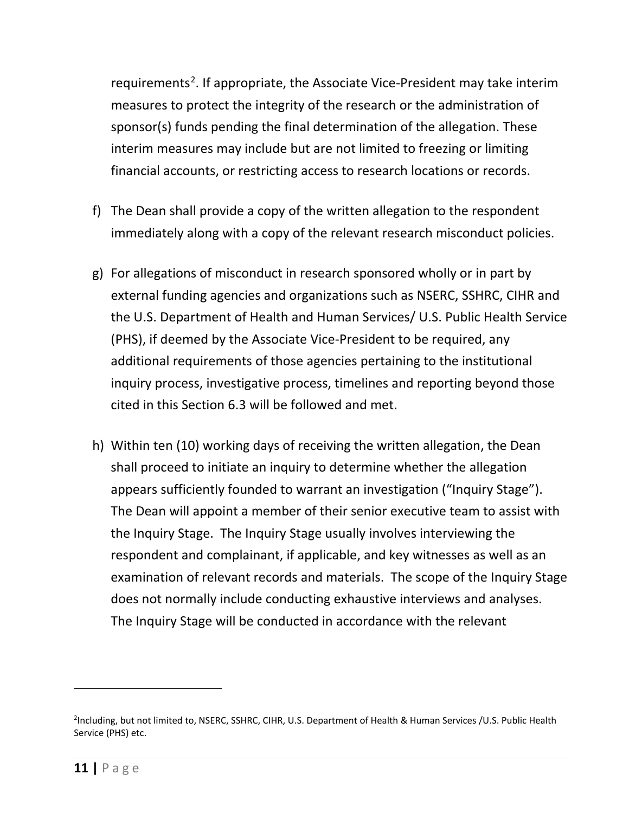requirements<sup>[2](#page-10-0)</sup>. If appropriate, the Associate Vice-President may take interim measures to protect the integrity of the research or the administration of sponsor(s) funds pending the final determination of the allegation. These interim measures may include but are not limited to freezing or limiting financial accounts, or restricting access to research locations or records.

- f) The Dean shall provide a copy of the written allegation to the respondent immediately along with a copy of the relevant research misconduct policies.
- g) For allegations of misconduct in research sponsored wholly or in part by external funding agencies and organizations such as NSERC, SSHRC, CIHR and the U.S. Department of Health and Human Services/ U.S. Public Health Service (PHS), if deemed by the Associate Vice-President to be required, any additional requirements of those agencies pertaining to the institutional inquiry process, investigative process, timelines and reporting beyond those cited in this Section 6.3 will be followed and met.
- h) Within ten (10) working days of receiving the written allegation, the Dean shall proceed to initiate an inquiry to determine whether the allegation appears sufficiently founded to warrant an investigation ("Inquiry Stage"). The Dean will appoint a member of their senior executive team to assist with the Inquiry Stage. The Inquiry Stage usually involves interviewing the respondent and complainant, if applicable, and key witnesses as well as an examination of relevant records and materials. The scope of the Inquiry Stage does not normally include conducting exhaustive interviews and analyses. The Inquiry Stage will be conducted in accordance with the relevant

<span id="page-10-0"></span><sup>2</sup> Including, but not limited to, NSERC, SSHRC, CIHR, U.S. Department of Health & Human Services /U.S. Public Health Service (PHS) etc.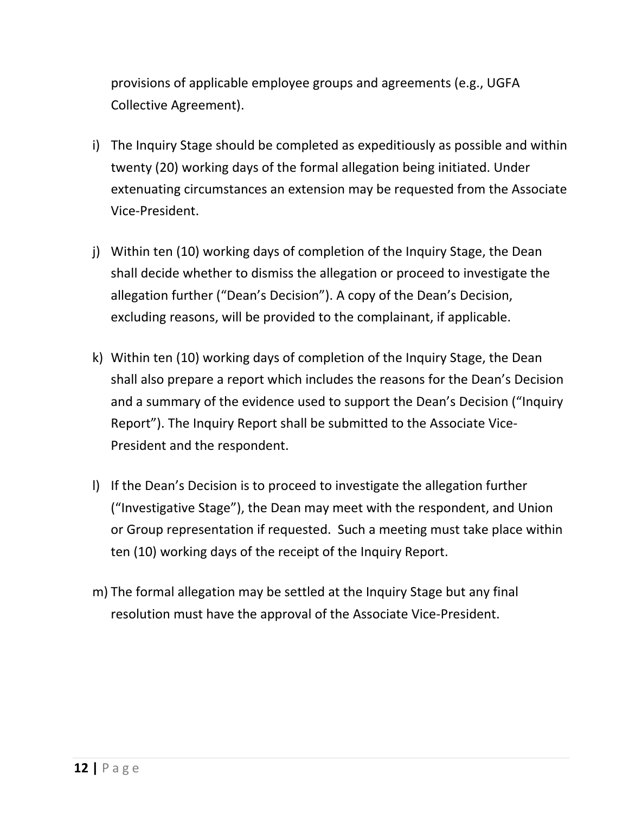provisions of applicable [employee groups and agreements](https://www.uoguelph.ca/hr/staff-relations/employee-groups-agreements) (e.g., UGFA Collective Agreement).

- i) The Inquiry Stage should be completed as expeditiously as possible and within twenty (20) working days of the formal allegation being initiated. Under extenuating circumstances an extension may be requested from the Associate Vice-President.
- j) Within ten (10) working days of completion of the Inquiry Stage, the Dean shall decide whether to dismiss the allegation or proceed to investigate the allegation further ("Dean's Decision"). A copy of the Dean's Decision, excluding reasons, will be provided to the complainant, if applicable.
- k) Within ten (10) working days of completion of the Inquiry Stage, the Dean shall also prepare a report which includes the reasons for the Dean's Decision and a summary of the evidence used to support the Dean's Decision ("Inquiry Report"). The Inquiry Report shall be submitted to the Associate Vice-President and the respondent.
- l) If the Dean's Decision is to proceed to investigate the allegation further ("Investigative Stage"), the Dean may meet with the respondent, and Union or Group representation if requested. Such a meeting must take place within ten (10) working days of the receipt of the Inquiry Report.
- m) The formal allegation may be settled at the Inquiry Stage but any final resolution must have the approval of the Associate Vice-President.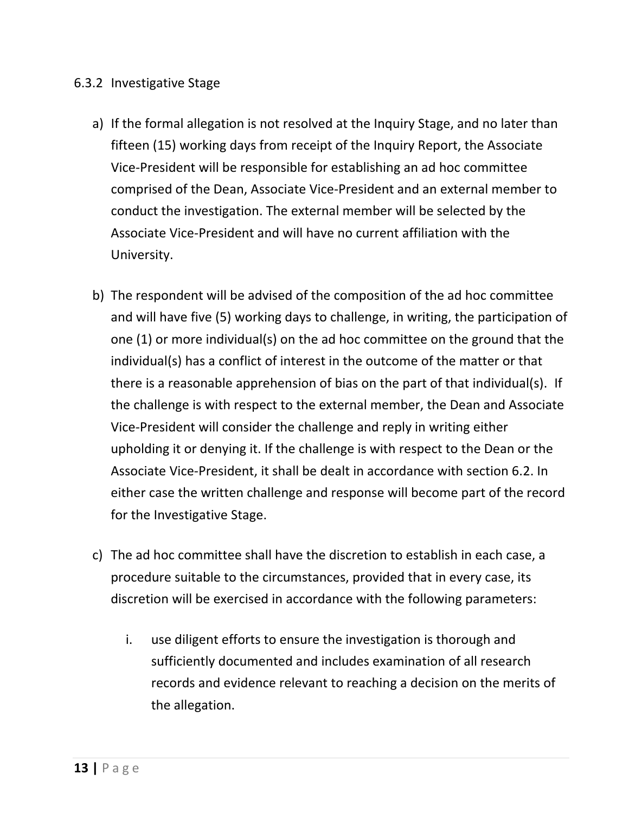#### 6.3.2 Investigative Stage

- a) If the formal allegation is not resolved at the Inquiry Stage, and no later than fifteen (15) working days from receipt of the Inquiry Report, the Associate Vice-President will be responsible for establishing an ad hoc committee comprised of the Dean, Associate Vice-President and an external member to conduct the investigation. The external member will be selected by the Associate Vice-President and will have no current affiliation with the University.
- b) The respondent will be advised of the composition of the ad hoc committee and will have five (5) working days to challenge, in writing, the participation of one (1) or more individual(s) on the ad hoc committee on the ground that the individual(s) has a conflict of interest in the outcome of the matter or that there is a reasonable apprehension of bias on the part of that individual(s). If the challenge is with respect to the external member, the Dean and Associate Vice-President will consider the challenge and reply in writing either upholding it or denying it. If the challenge is with respect to the Dean or the Associate Vice-President, it shall be dealt in accordance with section 6.2. In either case the written challenge and response will become part of the record for the Investigative Stage.
- c) The ad hoc committee shall have the discretion to establish in each case, a procedure suitable to the circumstances, provided that in every case, its discretion will be exercised in accordance with the following parameters:
	- i. use diligent efforts to ensure the investigation is thorough and sufficiently documented and includes examination of all research records and evidence relevant to reaching a decision on the merits of the allegation.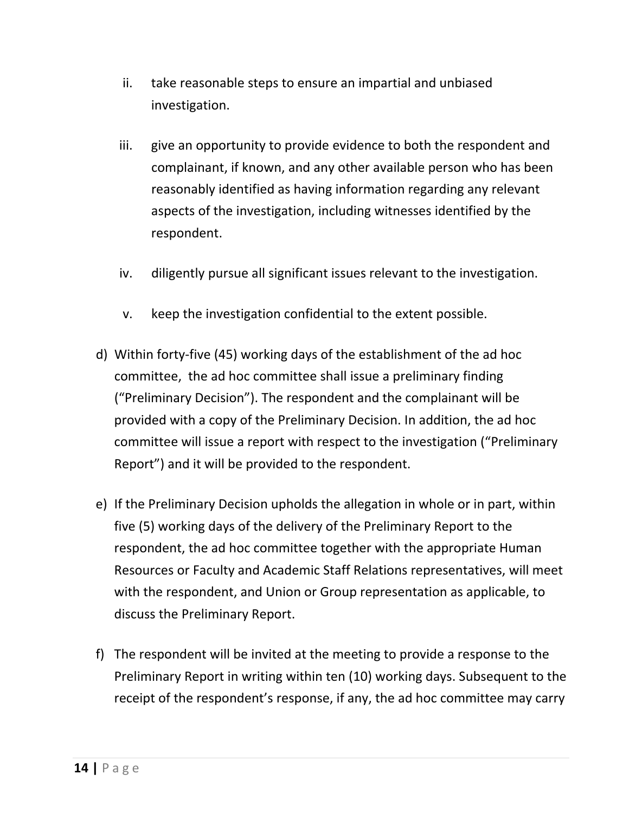- ii. take reasonable steps to ensure an impartial and unbiased investigation.
- iii. give an opportunity to provide evidence to both the respondent and complainant, if known, and any other available person who has been reasonably identified as having information regarding any relevant aspects of the investigation, including witnesses identified by the respondent.
- iv. diligently pursue all significant issues relevant to the investigation.
- v. keep the investigation confidential to the extent possible.
- d) Within forty-five (45) working days of the establishment of the ad hoc committee, the ad hoc committee shall issue a preliminary finding ("Preliminary Decision"). The respondent and the complainant will be provided with a copy of the Preliminary Decision. In addition, the ad hoc committee will issue a report with respect to the investigation ("Preliminary Report") and it will be provided to the respondent.
- e) If the Preliminary Decision upholds the allegation in whole or in part, within five (5) working days of the delivery of the Preliminary Report to the respondent, the ad hoc committee together with the appropriate Human Resources or Faculty and Academic Staff Relations representatives, will meet with the respondent, and Union or Group representation as applicable, to discuss the Preliminary Report.
- f) The respondent will be invited at the meeting to provide a response to the Preliminary Report in writing within ten (10) working days. Subsequent to the receipt of the respondent's response, if any, the ad hoc committee may carry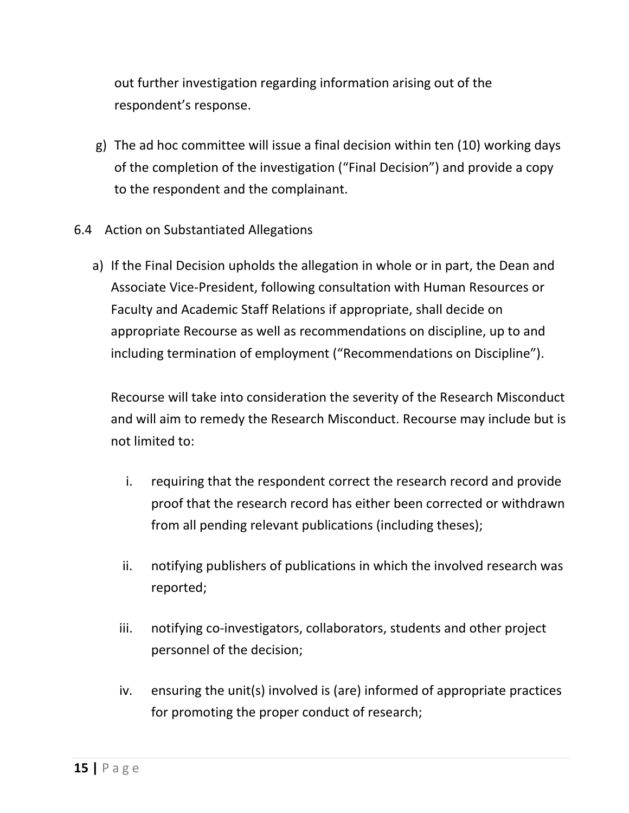out further investigation regarding information arising out of the respondent's response.

- g) The ad hoc committee will issue a final decision within ten (10) working days of the completion of the investigation ("Final Decision") and provide a copy to the respondent and the complainant.
- 6.4 Action on Substantiated Allegations
	- a) If the Final Decision upholds the allegation in whole or in part, the Dean and Associate Vice-President, following consultation with Human Resources or Faculty and Academic Staff Relations if appropriate, shall decide on appropriate Recourse as well as recommendations on discipline, up to and including termination of employment ("Recommendations on Discipline").

Recourse will take into consideration the severity of the Research Misconduct and will aim to remedy the Research Misconduct. Recourse may include but is not limited to:

- i. requiring that the respondent correct the research record and provide proof that the research record has either been corrected or withdrawn from all pending relevant publications (including theses);
- ii. notifying publishers of publications in which the involved research was reported;
- iii. notifying co-investigators, collaborators, students and other project personnel of the decision;
- iv. ensuring the unit(s) involved is (are) informed of appropriate practices for promoting the proper conduct of research;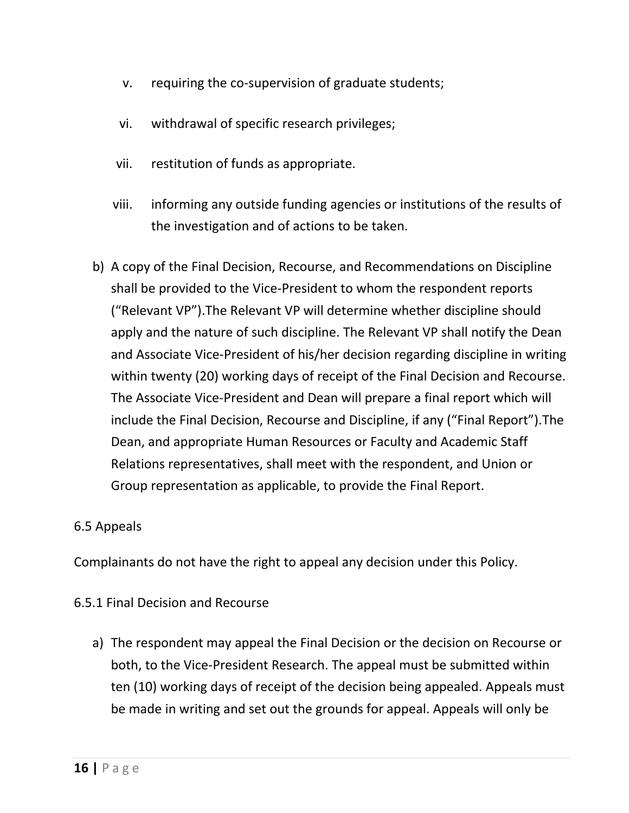- v. requiring the co-supervision of graduate students;
- vi. withdrawal of specific research privileges;
- vii. restitution of funds as appropriate.
- viii. informing any outside funding agencies or institutions of the results of the investigation and of actions to be taken.
- b) A copy of the Final Decision, Recourse, and Recommendations on Discipline shall be provided to the Vice-President to whom the respondent reports ("Relevant VP").The Relevant VP will determine whether discipline should apply and the nature of such discipline. The Relevant VP shall notify the Dean and Associate Vice-President of his/her decision regarding discipline in writing within twenty (20) working days of receipt of the Final Decision and Recourse. The Associate Vice-President and Dean will prepare a final report which will include the Final Decision, Recourse and Discipline, if any ("Final Report").The Dean, and appropriate Human Resources or Faculty and Academic Staff Relations representatives, shall meet with the respondent, and Union or Group representation as applicable, to provide the Final Report.

#### 6.5 Appeals

Complainants do not have the right to appeal any decision under this Policy.

#### 6.5.1 Final Decision and Recourse

a) The respondent may appeal the Final Decision or the decision on Recourse or both, to the Vice-President Research. The appeal must be submitted within ten (10) working days of receipt of the decision being appealed. Appeals must be made in writing and set out the grounds for appeal. Appeals will only be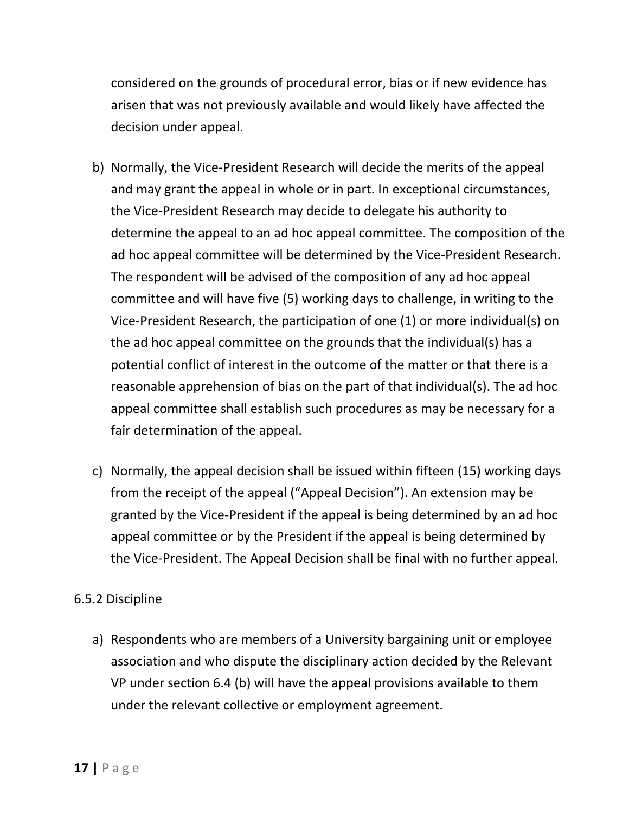considered on the grounds of procedural error, bias or if new evidence has arisen that was not previously available and would likely have affected the decision under appeal.

- b) Normally, the Vice-President Research will decide the merits of the appeal and may grant the appeal in whole or in part. In exceptional circumstances, the Vice-President Research may decide to delegate his authority to determine the appeal to an ad hoc appeal committee. The composition of the ad hoc appeal committee will be determined by the Vice-President Research. The respondent will be advised of the composition of any ad hoc appeal committee and will have five (5) working days to challenge, in writing to the Vice-President Research, the participation of one (1) or more individual(s) on the ad hoc appeal committee on the grounds that the individual(s) has a potential conflict of interest in the outcome of the matter or that there is a reasonable apprehension of bias on the part of that individual(s). The ad hoc appeal committee shall establish such procedures as may be necessary for a fair determination of the appeal.
- c) Normally, the appeal decision shall be issued within fifteen (15) working days from the receipt of the appeal ("Appeal Decision"). An extension may be granted by the Vice-President if the appeal is being determined by an ad hoc appeal committee or by the President if the appeal is being determined by the Vice-President. The Appeal Decision shall be final with no further appeal.

#### 6.5.2 Discipline

a) Respondents who are members of a University bargaining unit or employee association and who dispute the disciplinary action decided by the Relevant VP under section 6.4 (b) will have the appeal provisions available to them under the relevant collective or employment agreement.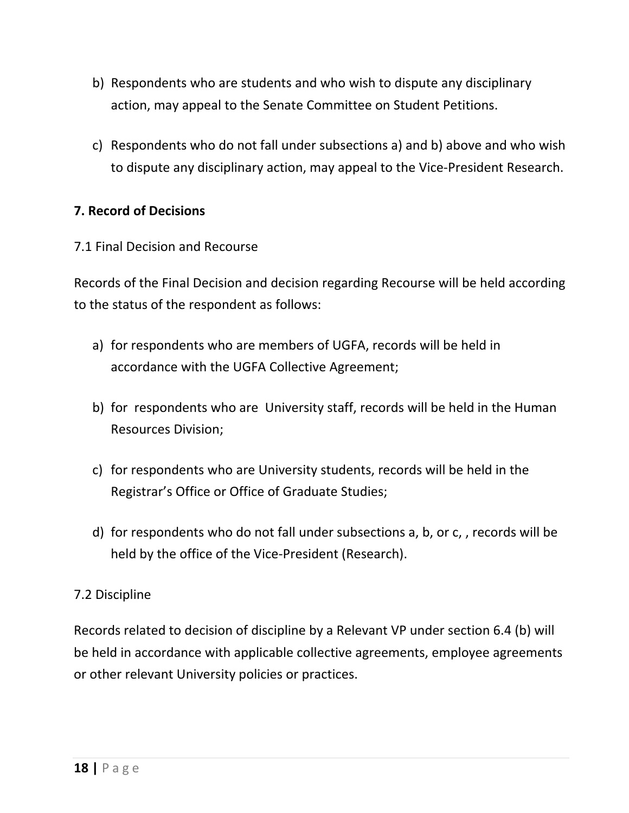- b) Respondents who are students and who wish to dispute any disciplinary action, may appeal to the Senate Committee on Student Petitions.
- c) Respondents who do not fall under subsections a) and b) above and who wish to dispute any disciplinary action, may appeal to the Vice-President Research.

## **7. Record of Decisions**

## 7.1 Final Decision and Recourse

Records of the Final Decision and decision regarding Recourse will be held according to the status of the respondent as follows:

- a) for respondents who are members of UGFA, records will be held in accordance with the UGFA Collective Agreement;
- b) for respondents who are University staff, records will be held in the Human Resources Division;
- c) for respondents who are University students, records will be held in the Registrar's Office or Office of Graduate Studies;
- d) for respondents who do not fall under subsections a, b, or c, , records will be held by the office of the Vice-President (Research).

# 7.2 Discipline

Records related to decision of discipline by a Relevant VP under section 6.4 (b) will be held in accordance with applicable collective agreements, employee agreements or other relevant University policies or practices.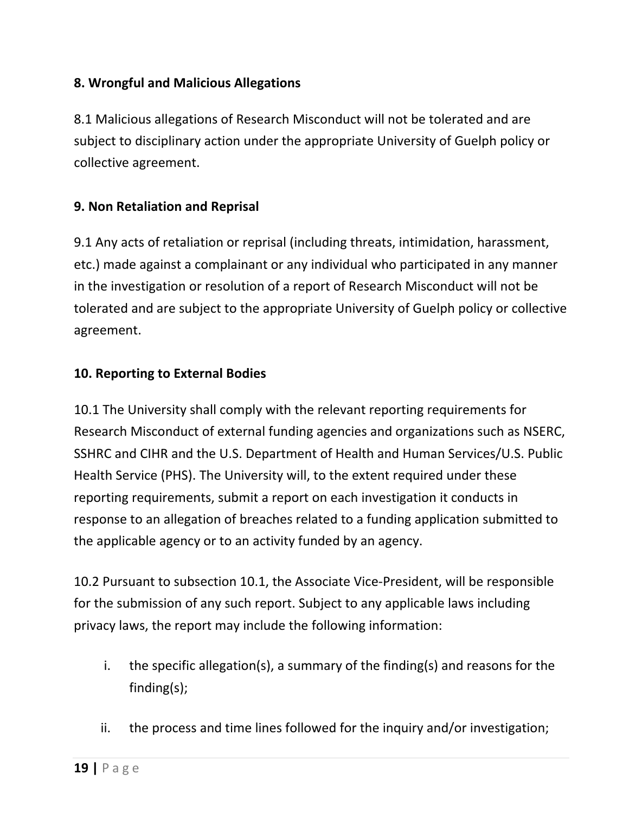## **8. Wrongful and Malicious Allegations**

8.1 Malicious allegations of Research Misconduct will not be tolerated and are subject to disciplinary action under the appropriate University of Guelph policy or collective agreement.

## **9. Non Retaliation and Reprisal**

9.1 Any acts of retaliation or reprisal (including threats, intimidation, harassment, etc.) made against a complainant or any individual who participated in any manner in the investigation or resolution of a report of Research Misconduct will not be tolerated and are subject to the appropriate University of Guelph policy or collective agreement.

## **10. Reporting to External Bodies**

10.1 The University shall comply with the relevant reporting requirements for Research Misconduct of external funding agencies and organizations such as NSERC, SSHRC and CIHR and the U.S. Department of Health and Human Services/U.S. Public Health Service (PHS). The University will, to the extent required under these reporting requirements, submit a report on each investigation it conducts in response to an allegation of breaches related to a funding application submitted to the applicable agency or to an activity funded by an agency.

10.2 Pursuant to subsection 10.1, the Associate Vice-President, will be responsible for the submission of any such report. Subject to any applicable laws including privacy laws, the report may include the following information:

- i. the specific allegation(s), a summary of the finding(s) and reasons for the finding(s);
- ii. the process and time lines followed for the inquiry and/or investigation;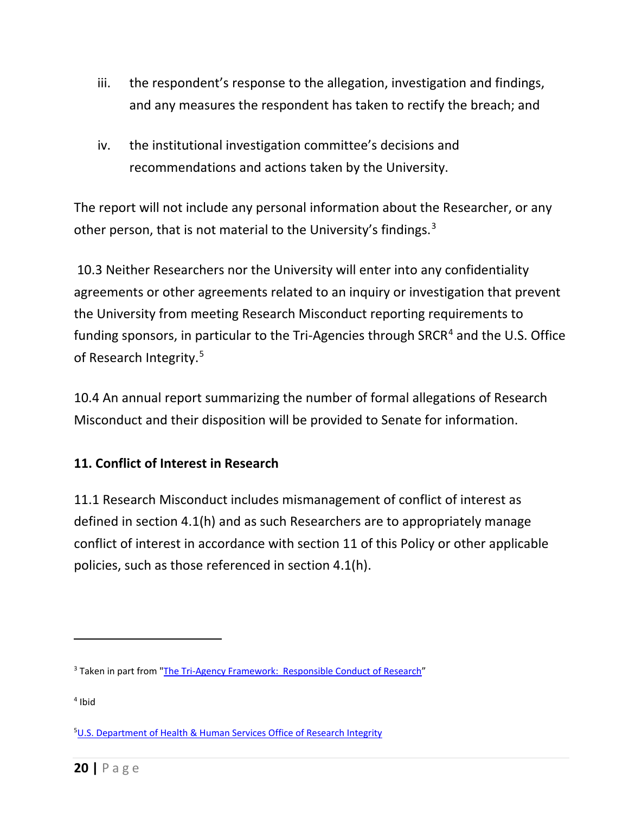- iii. the respondent's response to the allegation, investigation and findings, and any measures the respondent has taken to rectify the breach; and
- iv. the institutional investigation committee's decisions and recommendations and actions taken by the University.

The report will not include any personal information about the Researcher, or any other person, that is not material to the University's findings.<sup>[3](#page-19-0)</sup>

10.3 Neither Researchers nor the University will enter into any confidentiality agreements or other agreements related to an inquiry or investigation that prevent the University from meeting Research Misconduct reporting requirements to funding sponsors, in particular to the Tri-Agencies through SRCR<sup>[4](#page-19-1)</sup> and the U.S. Office of Research Integrity.<sup>[5](#page-19-2)</sup>

10.4 An annual report summarizing the number of formal allegations of Research Misconduct and their disposition will be provided to Senate for information.

## **11. Conflict of Interest in Research**

11.1 Research Misconduct includes mismanagement of conflict of interest as defined in section 4.1(h) and as such Researchers are to appropriately manage conflict of interest in accordance with section 11 of this Policy or other applicable policies, such as those referenced in section 4.1(h).

<span id="page-19-0"></span><sup>&</sup>lt;sup>3</sup> Taken in part from ["The Tri-Agency Framework: Responsible Conduct of Research"](http://www.rcr.ethics.gc.ca/eng/policy-politique/framework-cadre/)

<span id="page-19-1"></span><sup>4</sup> Ibid

<span id="page-19-2"></span><sup>&</sup>lt;sup>5</sup>U.S. [Department of Health & Human Services Office of Research Integrity](https://ori.hhs.gov/handling-misconduct)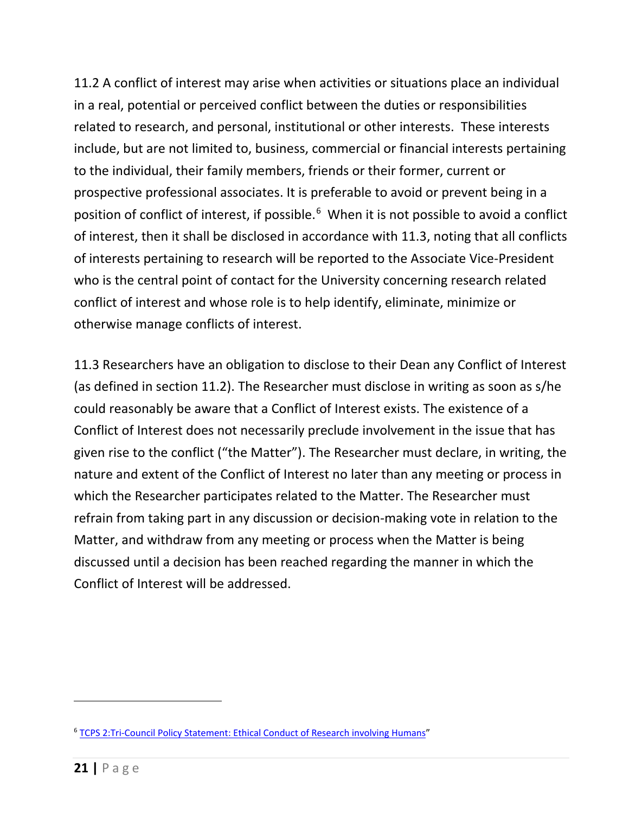11.2 A conflict of interest may arise when activities or situations place an individual in a real, potential or perceived conflict between the duties or responsibilities related to research, and personal, institutional or other interests. These interests include, but are not limited to, business, commercial or financial interests pertaining to the individual, their family members, friends or their former, current or prospective professional associates. It is preferable to avoid or prevent being in a position of conflict of interest, if possible.<sup>[6](#page-20-0)</sup> When it is not possible to avoid a conflict of interest, then it shall be disclosed in accordance with 11.3, noting that all conflicts of interests pertaining to research will be reported to the Associate Vice-President who is the central point of contact for the University concerning research related conflict of interest and whose role is to help identify, eliminate, minimize or otherwise manage conflicts of interest.

11.3 Researchers have an obligation to disclose to their Dean any Conflict of Interest (as defined in section 11.2). The Researcher must disclose in writing as soon as s/he could reasonably be aware that a Conflict of Interest exists. The existence of a Conflict of Interest does not necessarily preclude involvement in the issue that has given rise to the conflict ("the Matter"). The Researcher must declare, in writing, the nature and extent of the Conflict of Interest no later than any meeting or process in which the Researcher participates related to the Matter. The Researcher must refrain from taking part in any discussion or decision-making vote in relation to the Matter, and withdraw from any meeting or process when the Matter is being discussed until a decision has been reached regarding the manner in which the Conflict of Interest will be addressed.

<span id="page-20-0"></span><sup>6</sup> [TCPS 2:Tri-Council Policy Statement: Ethical Conduct of Research involving Humans"](http://www.pre.ethics.gc.ca/eng/policy-politique/initiatives/tcps2-eptc2/chapter7-chapitre7/)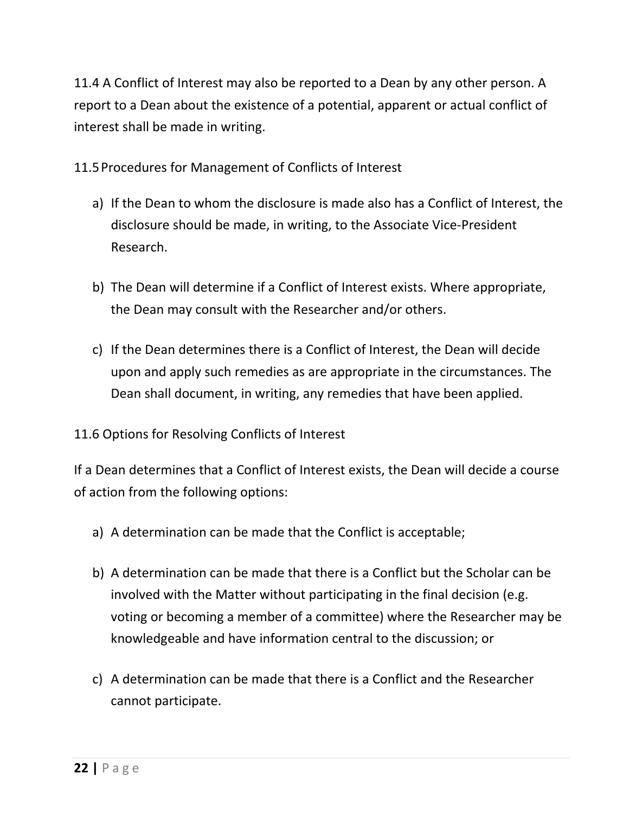11.4 A Conflict of Interest may also be reported to a Dean by any other person. A report to a Dean about the existence of a potential, apparent or actual conflict of interest shall be made in writing.

11.5Procedures for Management of Conflicts of Interest

- a) If the Dean to whom the disclosure is made also has a Conflict of Interest, the disclosure should be made, in writing, to the Associate Vice-President Research.
- b) The Dean will determine if a Conflict of Interest exists. Where appropriate, the Dean may consult with the Researcher and/or others.
- c) If the Dean determines there is a Conflict of Interest, the Dean will decide upon and apply such remedies as are appropriate in the circumstances. The Dean shall document, in writing, any remedies that have been applied.

# 11.6 Options for Resolving Conflicts of Interest

If a Dean determines that a Conflict of Interest exists, the Dean will decide a course of action from the following options:

- a) A determination can be made that the Conflict is acceptable;
- b) A determination can be made that there is a Conflict but the Scholar can be involved with the Matter without participating in the final decision (e.g. voting or becoming a member of a committee) where the Researcher may be knowledgeable and have information central to the discussion; or
- c) A determination can be made that there is a Conflict and the Researcher cannot participate.